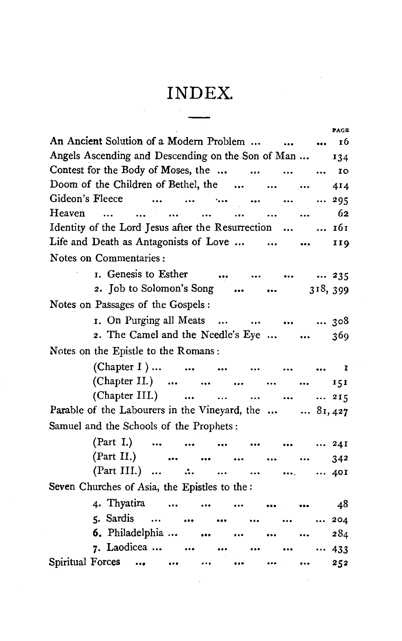## **INDEX.**

|                                                                     | PAGE |
|---------------------------------------------------------------------|------|
| An Ancient Solution of a Modern Problem    16                       |      |
| Angels Ascending and Descending on the Son of Man                   | 134  |
| Contest for the Body of Moses, the                                  | 10   |
| Doom of the Children of Bethel, the                                 | 414  |
| Gideon's Fleece                                                     | 295  |
| للبياء المتناور التبين المبيار المتناور المتناور المتناور<br>Heaven | -62  |
| Identity of the Lord Jesus after the Resurrection   161             |      |
| Life and Death as Antagonists of Love                               | 119  |
| Notes on Commentaries:                                              |      |
| 1. Genesis to Esther     235                                        |      |
| 2. Job to Solomon's Song   318, 399                                 |      |
| Notes on Passages of the Gospels :                                  |      |
| 1. On Purging all Meats      308                                    |      |
| 2. The Camel and the Needle's Eye                                   | 369  |
| Notes on the Epistle to the Romans:                                 |      |
| (Chapter I)      1                                                  |      |
| (Chapter II.)                                                       | 151  |
| (Chapter III.)      215                                             |      |
| Parable of the Labourers in the Vineyard, the   81,427              |      |
| Samuel and the Schools of the Prophets:                             |      |
|                                                                     |      |
| (Part I.)       24I                                                 |      |
| (Part II.)<br>(Part III.) $\therefore$                              | 342  |
|                                                                     | 401  |
| Seven Churches of Asia, the Epistles to the:                        |      |
| 4. Thyatira                                                         | - 48 |
| 5. Sardis<br>$\ddotsc$                                              | 204  |
| 6. Philadelphia                                                     | 284  |
| 7. Laodicea<br>$\ddotsc$                                            | 433  |
| Spiritual Forces<br>$\cdots$                                        | 252  |